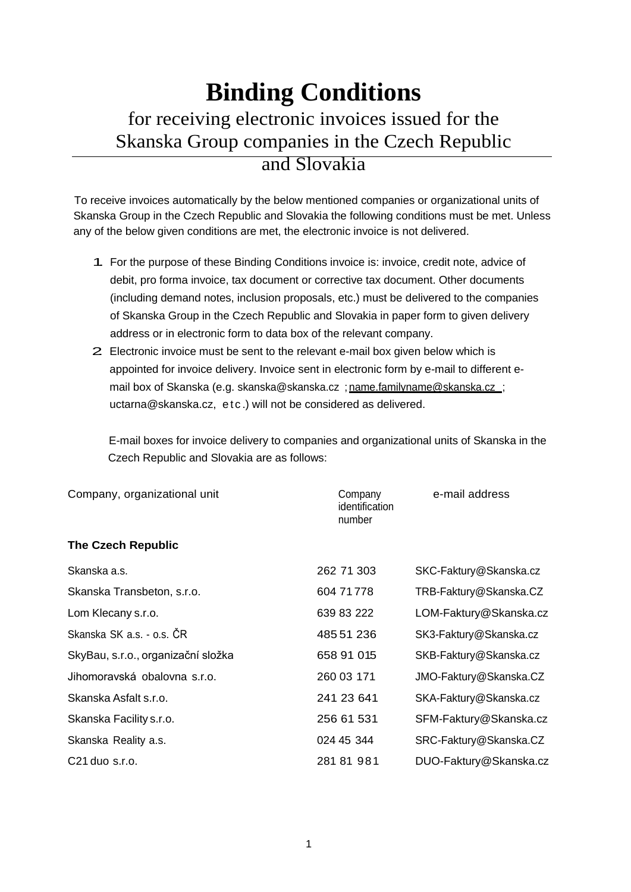## **Binding Conditions**  for receiving electronic invoices issued for the Skanska Group companies in the Czech Republic and Slovakia

To receive invoices automatically by the below mentioned companies or organizational units of Skanska Group in the Czech Republic and Slovakia the following conditions must be met. Unless any of the below given conditions are met, the electronic invoice is not delivered.

- 1. For the purpose of these Binding Conditions invoice is: invoice, credit note, advice of debit, pro forma invoice, tax document or corrective tax document. Other documents (including demand notes, inclusion proposals, etc.) must be delivered to the companies of Skanska Group in the Czech Republic and Slovakia in paper form to given delivery address or in electronic form to data box of the relevant company.
- 2. Electronic invoice must be sent to the relevant e-mail box given below which is appointed for invoice delivery. Invoice sent in electronic form by e-mail to different email box of Skanska (e.g. [skanska@skanska.cz](mailto:skanska@skanska.cz) ; name.familyname@skanska.cz ; [uctarna@skanska.cz,](mailto:uctarna@skanska.cz) etc.) will not be considered as delivered.

E-mail boxes for invoice delivery to companies and organizational units of Skanska in the Czech Republic and Slovakia are as follows:

| Company, organizational unit       | Company<br>identification<br>number | e-mail address         |
|------------------------------------|-------------------------------------|------------------------|
| <b>The Czech Republic</b>          |                                     |                        |
| Skanska a.s.                       | 262 71 303                          | SKC-Faktury@Skanska.cz |
| Skanska Transbeton, s.r.o.         | 604 71 778                          | TRB-Faktury@Skanska.CZ |
| Lom Klecany s.r.o.                 | 639 83 222                          | LOM-Faktury@Skanska.cz |
| Skanska SK a.s. - o.s. ČR          | 485 51 236                          | SK3-Faktury@Skanska.cz |
| SkyBau, s.r.o., organizační složka | 658 91 015                          | SKB-Faktury@Skanska.cz |
| Jihomoravská obalovna s.r.o.       | 260 03 171                          | JMO-Faktury@Skanska.CZ |
| Skanska Asfalt s.r.o.              | 241 23 641                          | SKA-Faktury@Skanska.cz |
| Skanska Facility s.r.o.            | 256 61 531                          | SFM-Faktury@Skanska.cz |
| Skanska Reality a.s.               | 024 45 344                          | SRC-Faktury@Skanska.CZ |
| C21 duo s.r.o.                     | 281 81 981                          | DUO-Faktury@Skanska.cz |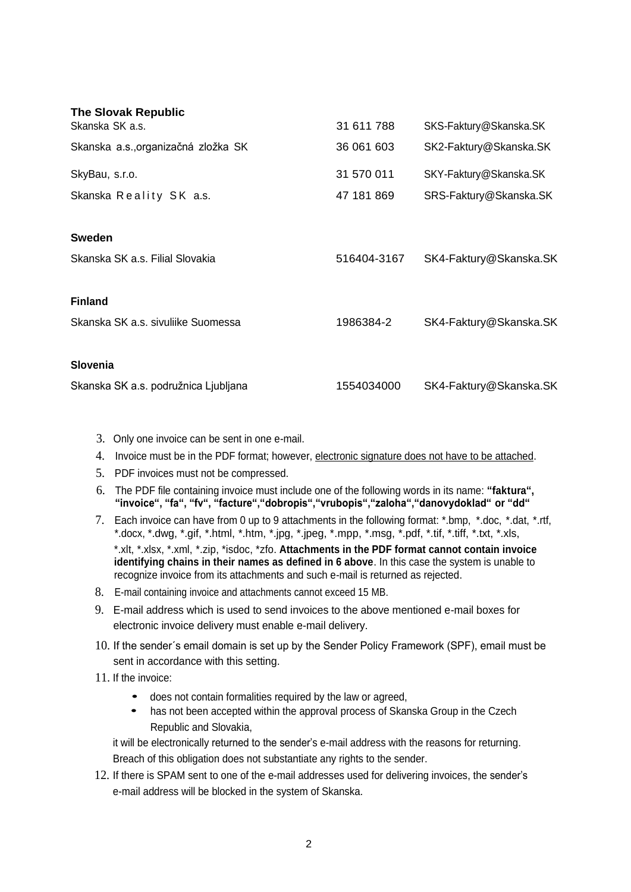| <b>The Slovak Republic</b><br>Skanska SK a.s. | 31 611 788  | SKS-Faktury@Skanska.SK |
|-----------------------------------------------|-------------|------------------------|
| Skanska a.s., organizačná zložka SK           | 36 061 603  | SK2-Faktury@Skanska.SK |
| SkyBau, s.r.o.                                | 31 570 011  | SKY-Faktury@Skanska.SK |
| Skanska Reality SK a.s.                       | 47 181 869  | SRS-Faktury@Skanska.SK |
|                                               |             |                        |
| <b>Sweden</b>                                 |             |                        |
| Skanska SK a.s. Filial Slovakia               | 516404-3167 | SK4-Faktury@Skanska.SK |
| <b>Finland</b>                                |             |                        |
| Skanska SK a.s. sivuliike Suomessa            | 1986384-2   | SK4-Faktury@Skanska.SK |
|                                               |             |                        |
| <b>Slovenia</b>                               |             |                        |
| Skanska SK a.s. podružnica Ljubljana          | 1554034000  | SK4-Faktury@Skanska.SK |

- 3. Only one invoice can be sent in one e-mail.
- 4. Invoice must be in the PDF format; however, electronic signature does not have to be attached.
- 5. PDF invoices must not be compressed.
- 6. The PDF file containing invoice must include one of the following words in its name: **"faktura", "invoice", "fa", "fv", "facture","dobropis","vrubopis","zaloha","danovydoklad" or "dd"**
- 7. Each invoice can have from 0 up to 9 attachments in the following format: \*.bmp, \*.doc, \*.dat, \*.rtf, \*.docx, \*.dwg, \*.gif, \*.html, \*.htm, \*.jpg, \*.jpeg, \*.mpp, \*.msg, \*.pdf, \*.tif, \*.tiff, \*.txt, \*.xls, \*.xlt, \*.xlsx, \*.xml, \*.zip, \*isdoc, \*zfo. **Attachments in the PDF format cannot contain invoice identifying chains in their names as defined in 6 above**. In this case the system is unable to recognize invoice from its attachments and such e-mail is returned as rejected.
- 8. E-mail containing invoice and attachments cannot exceed 15 MB.
- 9. E-mail address which is used to send invoices to the above mentioned e-mail boxes for electronic invoice delivery must enable e-mail delivery.
- 10. If the sender´s email domain is set up by the Sender Policy Framework (SPF), email must be sent in accordance with this setting.
- 11. If the invoice:
	- does not contain formalities required by the law or agreed,
	- has not been accepted within the approval process of Skanska Group in the Czech Republic and Slovakia,

it will be electronically returned to the sender's e-mail address with the reasons for returning. Breach of this obligation does not substantiate any rights to the sender.

12. If there is SPAM sent to one of the e-mail addresses used for delivering invoices, the sender's e-mail address will be blocked in the system of Skanska.